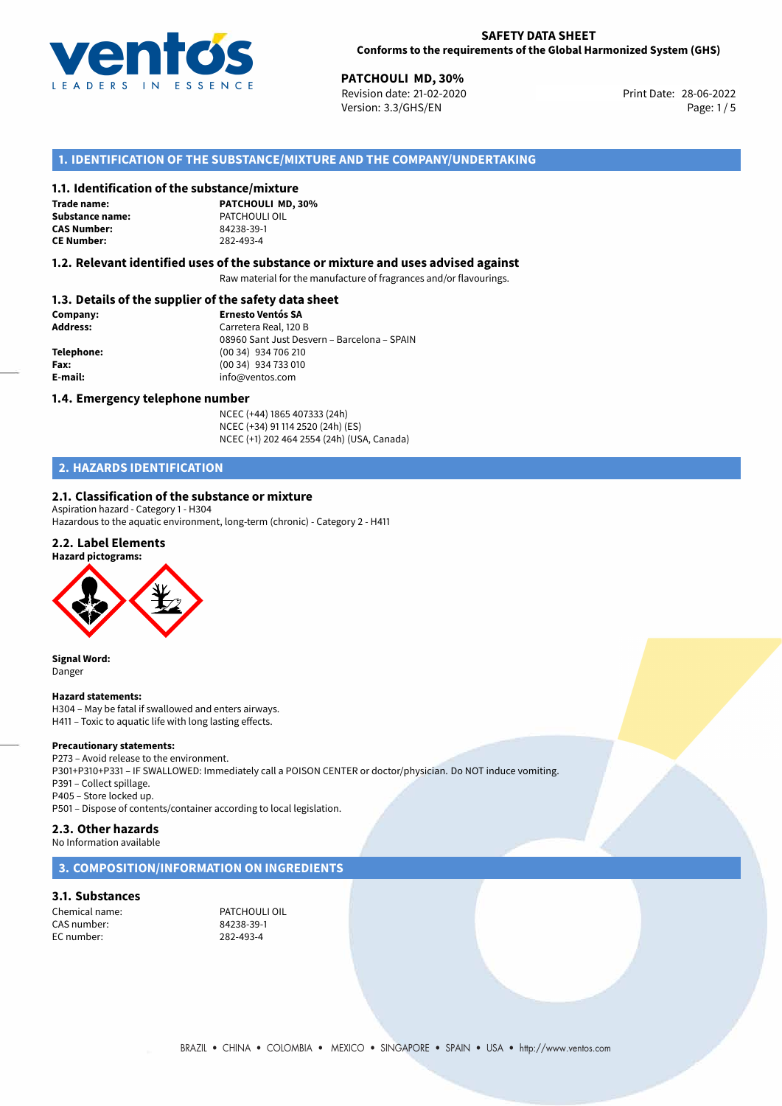

**PATCHOULI MD, 30%**<br> **Revision date: 21-02-2020** Print Date: 28-06-2022 Version: 3.3/GHS/EN Page: 1/5

# **1. IDENTIFICATION OF THE SUBSTANCE/MIXTURE AND THE COMPANY/UNDERTAKING**

# **1.1. Identification of the substance/mixture**

**Trade name: CAS Number: CE Number:** 282-493-4

**PATCHOULI MD, 30% Substance name:** PATCHOULI OIL

#### **1.2. Relevant identified uses of the substance or mixture and uses advised against**

Raw material for the manufacture of fragrances and/or flavourings.

# **1.3. Details of the supplier of the safety data sheet**

| Company:   | <b>Ernesto Ventós SA</b>                    |
|------------|---------------------------------------------|
| Address:   | Carretera Real, 120 B                       |
|            | 08960 Sant Just Desvern - Barcelona - SPAIN |
| Telephone: | (00 34) 934 706 210                         |
| Fax:       | (00 34) 934 733 010                         |
| E-mail:    | info@ventos.com                             |
|            |                                             |

#### **1.4. Emergency telephone number**

NCEC (+44) 1865 407333 (24h) NCEC (+34) 91 114 2520 (24h) (ES) NCEC (+1) 202 464 2554 (24h) (USA, Canada)

# **2. HAZARDS IDENTIFICATION**

# **2.1. Classification of the substance or mixture**

Aspiration hazard - Category 1 - H304 Hazardous to the aquatic environment, long-term (chronic) - Category 2 - H411

# **2.2. Label Elements**



**Signal Word:** Danger

#### **Hazard statements:**

H304 – May be fatal if swallowed and enters airways. H411 – Toxic to aquatic life with long lasting effects.

#### **Precautionary statements:**

P273 – Avoid release to the environment. P301+P310+P331 – IF SWALLOWED: Immediately call a POISON CENTER or doctor/physician. Do NOT induce vomiting. P391 – Collect spillage. P405 – Store locked up. P501 – Dispose of contents/container according to local legislation.

# **2.3. Other hazards**

No Information available

# **3. COMPOSITION/INFORMATION ON INGREDIENTS**

#### **3.1. Substances**

Chemical name: PATCHOULI OIL CAS number: EC number: 282-493-4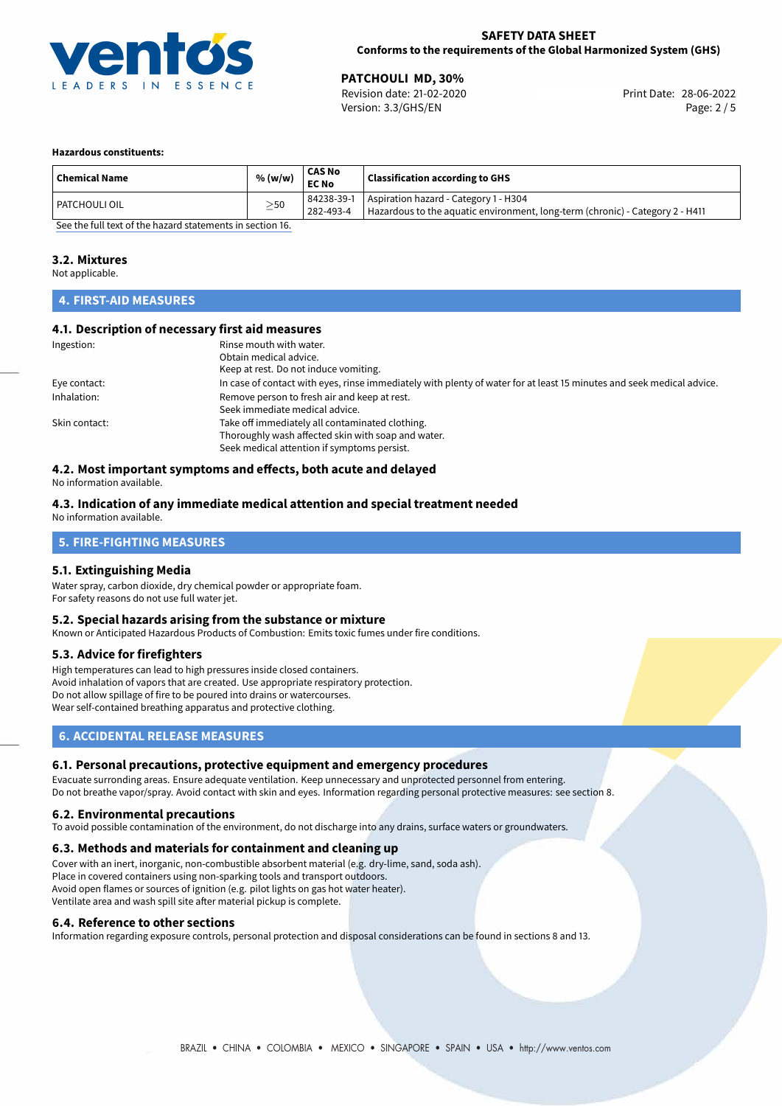

**PATCHOULI MD, 30%**<br>
Revision date: 21-02-2020 **Print Date: 28-06-2022** Version: 3.3/GHS/EN Page: 2 / 5

#### **Hazardous constituents:**

| <b>Chemical Name</b>                                       | % (w/w)   | CAS No<br><b>EC No</b>  | <b>Classification according to GHS</b>                                                                                 |  |
|------------------------------------------------------------|-----------|-------------------------|------------------------------------------------------------------------------------------------------------------------|--|
| I PATCHOULI OIL                                            | $\geq$ 50 | 84238-39-1<br>282-493-4 | Aspiration hazard - Category 1 - H304<br>Hazardous to the aquatic environment, long-term (chronic) - Category 2 - H411 |  |
| Can then full tout of the bound statements in continue 1C. |           |                         |                                                                                                                        |  |

[See the full text of the hazard statements in section 16.](#page-4-0)

### **3.2. Mixtures**

Not applicable.

# **4. FIRST-AID MEASURES**

#### **4.1. Description of necessary first aid measures**

| Ingestion:    | Rinse mouth with water.<br>Obtain medical advice.<br>Keep at rest. Do not induce vomiting.                                                           |
|---------------|------------------------------------------------------------------------------------------------------------------------------------------------------|
| Eye contact:  | In case of contact with eyes, rinse immediately with plenty of water for at least 15 minutes and seek medical advice.                                |
| Inhalation:   | Remove person to fresh air and keep at rest.<br>Seek immediate medical advice.                                                                       |
| Skin contact: | Take off immediately all contaminated clothing.<br>Thoroughly wash affected skin with soap and water.<br>Seek medical attention if symptoms persist. |

# **4.2. Most important symptoms and effects, both acute and delayed**

No information available.

#### **4.3. Indication of any immediate medical attention and special treatment needed** No information available.

# **5. FIRE-FIGHTING MEASURES**

# **5.1. Extinguishing Media**

Water spray, carbon dioxide, dry chemical powder or appropriate foam. For safety reasons do not use full water jet.

#### **5.2. Special hazards arising from the substance or mixture**

Known or Anticipated Hazardous Products of Combustion: Emits toxic fumes under fire conditions.

# **5.3. Advice for firefighters**

High temperatures can lead to high pressures inside closed containers. Avoid inhalation of vapors that are created. Use appropriate respiratory protection. Do not allow spillage of fire to be poured into drains or watercourses. Wear self-contained breathing apparatus and protective clothing.

# **6. ACCIDENTAL RELEASE MEASURES**

## **6.1. Personal precautions, protective equipment and emergency procedures**

Evacuate surronding areas. Ensure adequate ventilation. Keep unnecessary and unprotected personnel from entering. Do not breathe vapor/spray. Avoid contact with skin and eyes. Information regarding personal protective measures: see section 8.

#### **6.2. Environmental precautions**

To avoid possible contamination of the environment, do not discharge into any drains, surface waters or groundwaters.

#### **6.3. Methods and materials for containment and cleaning up**

Cover with an inert, inorganic, non-combustible absorbent material (e.g. dry-lime, sand, soda ash). Place in covered containers using non-sparking tools and transport outdoors. Avoid open flames or sources of ignition (e.g. pilot lights on gas hot water heater). Ventilate area and wash spill site after material pickup is complete.

#### **6.4. Reference to other sections**

Information regarding exposure controls, personal protection and disposal considerations can be found in sections 8 and 13.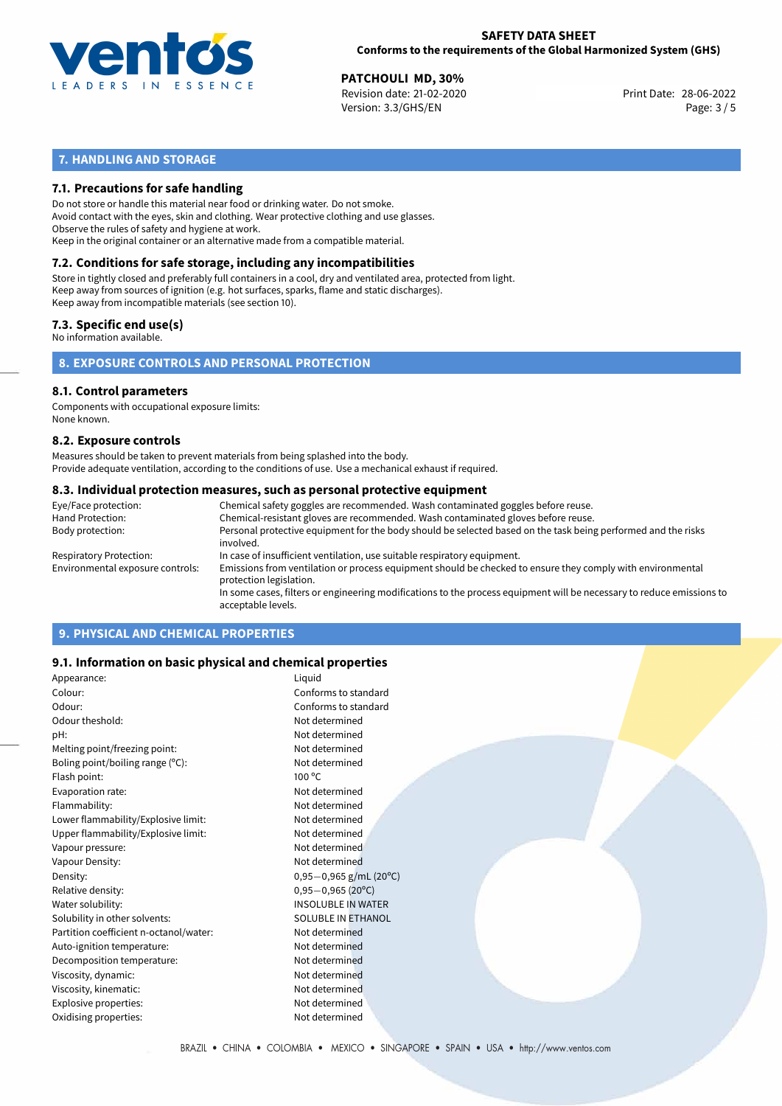

**PATCHOULI MD, 30%**<br>
Revision date: 21-02-2020 **Print Date: 28-06-2022** Version: 3.3/GHS/EN Page: 3 / 5

# **7. HANDLING AND STORAGE**

# **7.1. Precautions for safe handling**

Do not store or handle this material near food or drinking water. Do not smoke. Avoid contact with the eyes, skin and clothing. Wear protective clothing and use glasses. Observe the rules of safety and hygiene at work. Keep in the original container or an alternative made from a compatible material.

# **7.2. Conditions for safe storage, including any incompatibilities**

Store in tightly closed and preferably full containers in a cool, dry and ventilated area, protected from light. Keep away from sources of ignition (e.g. hot surfaces, sparks, flame and static discharges). Keep away from incompatible materials (see section 10).

## **7.3. Specific end use(s)**

No information available.

**8. EXPOSURE CONTROLS AND PERSONAL PROTECTION**

# **8.1. Control parameters**

Components with occupational exposure limits: None known.

#### **8.2. Exposure controls**

Measures should be taken to prevent materials from being splashed into the body. Provide adequate ventilation, according to the conditions of use. Use a mechanical exhaust if required.

#### **8.3. Individual protection measures, such as personal protective equipment**

| Eye/Face protection:             | Chemical safety goggles are recommended. Wash contaminated goggles before reuse.                                                            |
|----------------------------------|---------------------------------------------------------------------------------------------------------------------------------------------|
| Hand Protection:                 | Chemical-resistant gloves are recommended. Wash contaminated gloves before reuse.                                                           |
| Body protection:                 | Personal protective equipment for the body should be selected based on the task being performed and the risks<br>involved.                  |
| Respiratory Protection:          | In case of insufficient ventilation, use suitable respiratory equipment.                                                                    |
| Environmental exposure controls: | Emissions from ventilation or process equipment should be checked to ensure they comply with environmental<br>protection legislation.       |
|                                  | In some cases, filters or engineering modifications to the process equipment will be necessary to reduce emissions to<br>acceptable levels. |
|                                  |                                                                                                                                             |

# **9. PHYSICAL AND CHEMICAL PROPERTIES**

# **9.1. Information on basic physical and chemical properties**

| Appearance:                            | Liquid                    |
|----------------------------------------|---------------------------|
| Colour:                                | Conforms to standard      |
| Odour:                                 | Conforms to standard      |
| Odour theshold:                        | Not determined            |
| pH:                                    | Not determined            |
| Melting point/freezing point:          | Not determined            |
| Boling point/boiling range $(°C)$ :    | Not determined            |
| Flash point:                           | $100^{\circ}$ C           |
| Evaporation rate:                      | Not determined            |
| Flammability:                          | Not determined            |
| Lower flammability/Explosive limit:    | Not determined            |
| Upper flammability/Explosive limit:    | Not determined            |
| Vapour pressure:                       | Not determined            |
| Vapour Density:                        | Not determined            |
| Density:                               | $0,95-0,965$ g/mL (20°C)  |
| Relative density:                      | $0,95-0,965(20^{\circ}C)$ |
| Water solubility:                      | <b>INSOLUBLE IN WATER</b> |
| Solubility in other solvents:          | <b>SOLUBLE IN ETHANOL</b> |
| Partition coefficient n-octanol/water: | Not determined            |
| Auto-ignition temperature:             | Not determined            |
| Decomposition temperature:             | Not determined            |
| Viscosity, dynamic:                    | Not determined            |
| Viscosity, kinematic:                  | Not determined            |
| Explosive properties:                  | Not determined            |
| Oxidising properties:                  | Not determined            |
|                                        |                           |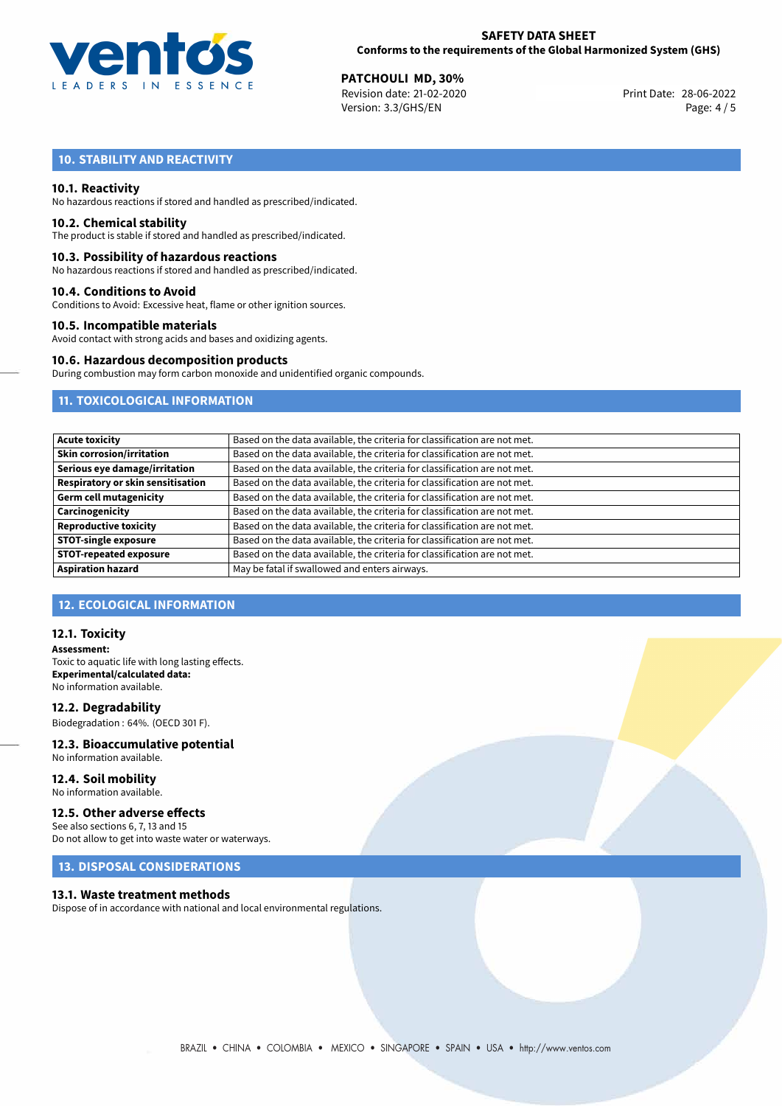

**PATCHOULI MD, 30%**<br>
Revision date: 21-02-2020 **Print Date: 28-06-2022** Version: 3.3/GHS/EN Page: 4 / 5

# **10. STABILITY AND REACTIVITY**

# **10.1. Reactivity**

No hazardous reactions if stored and handled as prescribed/indicated.

### **10.2. Chemical stability**

The product is stable if stored and handled as prescribed/indicated.

#### **10.3. Possibility of hazardous reactions**

No hazardous reactions if stored and handled as prescribed/indicated.

#### **10.4. Conditions to Avoid**

Conditions to Avoid: Excessive heat, flame or other ignition sources.

#### **10.5. Incompatible materials**

Avoid contact with strong acids and bases and oxidizing agents.

#### **10.6. Hazardous decomposition products**

During combustion may form carbon monoxide and unidentified organic compounds.

# **11. TOXICOLOGICAL INFORMATION**

| <b>Acute toxicity</b>             | Based on the data available, the criteria for classification are not met. |
|-----------------------------------|---------------------------------------------------------------------------|
| <b>Skin corrosion/irritation</b>  | Based on the data available, the criteria for classification are not met. |
| Serious eye damage/irritation     | Based on the data available, the criteria for classification are not met. |
| Respiratory or skin sensitisation | Based on the data available, the criteria for classification are not met. |
| <b>Germ cell mutagenicity</b>     | Based on the data available, the criteria for classification are not met. |
| Carcinogenicity                   | Based on the data available, the criteria for classification are not met. |
| <b>Reproductive toxicity</b>      | Based on the data available, the criteria for classification are not met. |
| <b>STOT-single exposure</b>       | Based on the data available, the criteria for classification are not met. |
| <b>STOT-repeated exposure</b>     | Based on the data available, the criteria for classification are not met. |
| <b>Aspiration hazard</b>          | May be fatal if swallowed and enters airways.                             |

# **12. ECOLOGICAL INFORMATION**

### **12.1. Toxicity**

**Assessment:** Toxic to aquatic life with long lasting effects. **Experimental/calculated data:** No information available.

**12.2. Degradability** Biodegradation : 64%. (OECD 301 F).

#### **12.3. Bioaccumulative potential** No information available.

**12.4. Soil mobility** No information available.

# **12.5. Other adverse effects**

See also sections 6, 7, 13 and 15 Do not allow to get into waste water or waterways.

# **13. DISPOSAL CONSIDERATIONS**

#### **13.1. Waste treatment methods**

Dispose of in accordance with national and local environmental regulations.